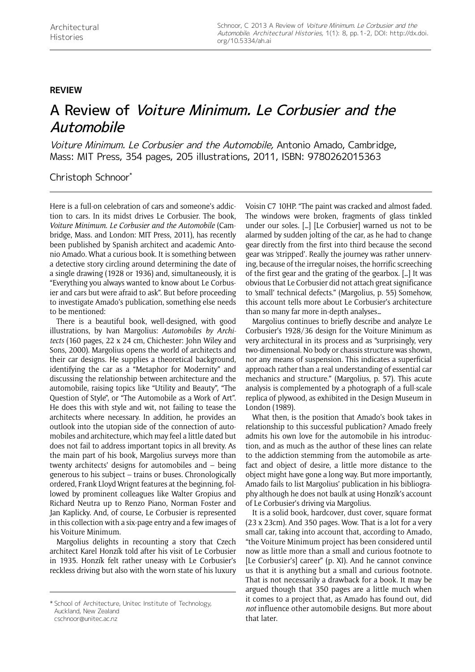## **review**

## A Review of Voiture Minimum. Le Corbusier and the Automobile

Voiture Minimum. Le Corbusier and the Automobile, Antonio Amado, Cambridge, Mass: MIT Press, 354 pages, 205 illustrations, 2011, ISBN: 9780262015363

Christoph Schnoor\*

Here is a full-on celebration of cars and someone's addiction to cars. In its midst drives Le Corbusier. The book, *Voiture Minimum. Le Corbusier and the Automobile* (Cambridge, Mass. and London: MIT Press, 2011), has recently been published by Spanish architect and academic Antonio Amado. What a curious book. It is something between a detective story circling around determining the date of a single drawing (1928 or 1936) and, simultaneously, it is "Everything you always wanted to know about Le Corbusier and cars but were afraid to ask". But before proceeding to investigate Amado's publication, something else needs to be mentioned:

There is a beautiful book, well-designed, with good illustrations, by Ivan Margolius: *Automobiles by Architects* (160 pages, 22 x 24 cm, Chichester: John Wiley and Sons, 2000). Margolius opens the world of architects and their car designs. He supplies a theoretical background, identifying the car as a "Metaphor for Modernity" and discussing the relationship between architecture and the automobile, raising topics like "Utility and Beauty", "The Question of Style", or "The Automobile as a Work of Art". He does this with style and wit, not failing to tease the architects where necessary. In addition, he provides an outlook into the utopian side of the connection of automobiles and architecture, which may feel a little dated but does not fail to address important topics in all brevity. As the main part of his book, Margolius surveys more than twenty architects' designs for automobiles and – being generous to his subject – trains or buses. Chronologically ordered, Frank Lloyd Wrignt features at the beginning, followed by prominent colleagues like Walter Gropius and Richard Neutra up to Renzo Piano, Norman Foster and Jan Kaplicky. And, of course, Le Corbusier is represented in this collection with a six-page entry and a few images of his Voiture Minimum.

Margolius delights in recounting a story that Czech architect Karel Honzík told after his visit of Le Corbusier in 1935. Honzík felt rather uneasy with Le Corbusier's reckless driving but also with the worn state of his luxury

cschnoor@unitec.ac.nz

Voisin C7 10HP. "The paint was cracked and almost faded. The windows were broken, fragments of glass tinkled under our soles. […] [Le Corbusier] warned us not to be alarmed by sudden jolting of the car, as he had to change gear directly from the first into third because the second gear was 'stripped'. Really the journey was rather unnerving, because of the irregular noises, the horrific screeching of the first gear and the grating of the gearbox. […] It was obvious that Le Corbusier did not attach great significance to 'small' technical defects." (Margolius, p. 55) Somehow, this account tells more about Le Corbusier's architecture than so many far more in-depth analyses…

Margolius continues to briefly describe and analyze Le Corbusier's 1928/36 design for the Voiture Minimum as very architectural in its process and as "surprisingly, very two-dimensional. No body or chassis structure was shown, nor any means of suspension. This indicates a superficial approach rather than a real understanding of essential car mechanics and structure." (Margolius, p. 57). This acute analysis is complemented by a photograph of a full-scale replica of plywood, as exhibited in the Design Museum in London (1989).

What then, is the position that Amado's book takes in relationship to this successful publication? Amado freely admits his own love for the automobile in his introduction, and as much as the author of these lines can relate to the addiction stemming from the automobile as artefact and object of desire, a little more distance to the object might have gone a long way. But more importantly, Amado fails to list Margolius' publication in his bibliography although he does not baulk at using Honzík's account of Le Corbusier's driving via Margolius.

It is a solid book, hardcover, dust cover, square format (23 x 23cm). And 350 pages. Wow. That is a lot for a very small car, taking into account that, according to Amado, "the Voiture Minimum project has been considered until now as little more than a small and curious footnote to [Le Corbusier's] career" (p. XI). And he cannot convince us that it is anything but a small and curious footnote. That is not necessarily a drawback for a book. It may be argued though that 350 pages are a little much when it comes to a project that, as Amado has found out, did *not* influence other automobile designs. But more about that later.

<sup>\*</sup> School of Architecture, Unitec Institute of Technology, Auckland, New Zealand